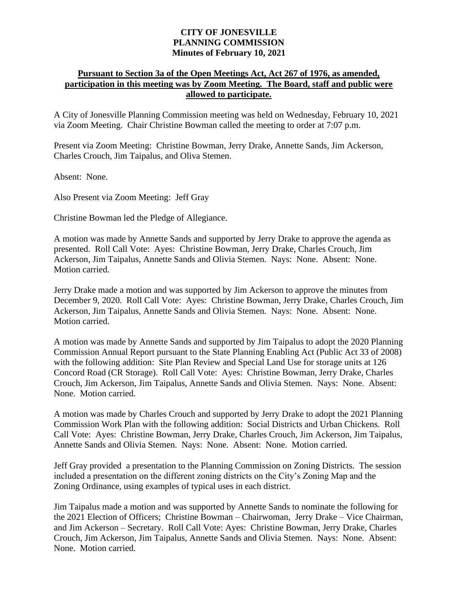## **CITY OF JONESVILLE PLANNING COMMISSION Minutes of February 10, 2021**

## **Pursuant to Section 3a of the Open Meetings Act, Act 267 of 1976, as amended, participation in this meeting was by Zoom Meeting. The Board, staff and public were allowed to participate.**

A City of Jonesville Planning Commission meeting was held on Wednesday, February 10, 2021 via Zoom Meeting. Chair Christine Bowman called the meeting to order at 7:07 p.m.

Present via Zoom Meeting: Christine Bowman, Jerry Drake, Annette Sands, Jim Ackerson, Charles Crouch, Jim Taipalus, and Oliva Stemen.

Absent: None.

Also Present via Zoom Meeting: Jeff Gray

Christine Bowman led the Pledge of Allegiance.

A motion was made by Annette Sands and supported by Jerry Drake to approve the agenda as presented. Roll Call Vote: Ayes: Christine Bowman, Jerry Drake, Charles Crouch, Jim Ackerson, Jim Taipalus, Annette Sands and Olivia Stemen. Nays: None. Absent: None. Motion carried.

Jerry Drake made a motion and was supported by Jim Ackerson to approve the minutes from December 9, 2020. Roll Call Vote: Ayes: Christine Bowman, Jerry Drake, Charles Crouch, Jim Ackerson, Jim Taipalus, Annette Sands and Olivia Stemen. Nays: None. Absent: None. Motion carried.

A motion was made by Annette Sands and supported by Jim Taipalus to adopt the 2020 Planning Commission Annual Report pursuant to the State Planning Enabling Act (Public Act 33 of 2008) with the following addition: Site Plan Review and Special Land Use for storage units at 126 Concord Road (CR Storage). Roll Call Vote: Ayes: Christine Bowman, Jerry Drake, Charles Crouch, Jim Ackerson, Jim Taipalus, Annette Sands and Olivia Stemen. Nays: None. Absent: None. Motion carried.

A motion was made by Charles Crouch and supported by Jerry Drake to adopt the 2021 Planning Commission Work Plan with the following addition: Social Districts and Urban Chickens. Roll Call Vote: Ayes: Christine Bowman, Jerry Drake, Charles Crouch, Jim Ackerson, Jim Taipalus, Annette Sands and Olivia Stemen. Nays: None. Absent: None. Motion carried.

Jeff Gray provided a presentation to the Planning Commission on Zoning Districts. The session included a presentation on the different zoning districts on the City's Zoning Map and the Zoning Ordinance, using examples of typical uses in each district.

Jim Taipalus made a motion and was supported by Annette Sands to nominate the following for the 2021 Election of Officers; Christine Bowman – Chairwoman, Jerry Drake – Vice Chairman, and Jim Ackerson – Secretary. Roll Call Vote: Ayes: Christine Bowman, Jerry Drake, Charles Crouch, Jim Ackerson, Jim Taipalus, Annette Sands and Olivia Stemen. Nays: None. Absent: None. Motion carried.